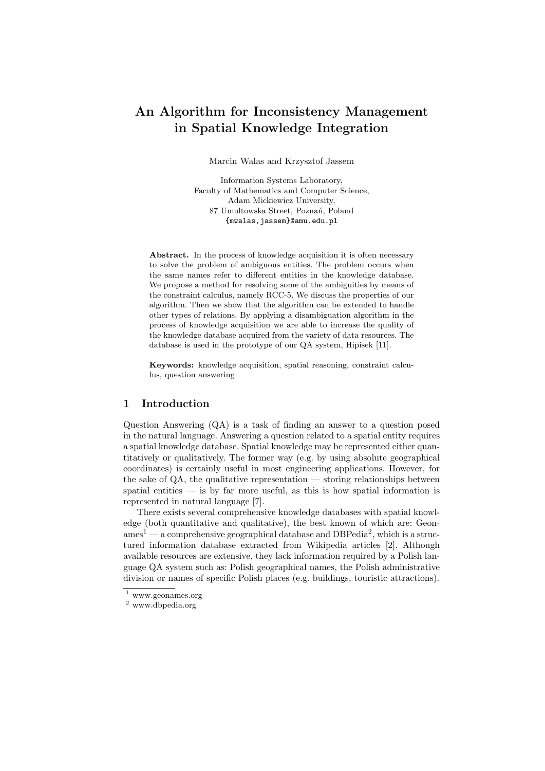# An Algorithm for Inconsistency Management in Spatial Knowledge Integration

Marcin Walas and Krzysztof Jassem

Information Systems Laboratory, Faculty of Mathematics and Computer Science, Adam Mickiewicz University, 87 Umultowska Street, Poznań, Poland {mwalas,jassem}@amu.edu.pl

Abstract. In the process of knowledge acquisition it is often necessary to solve the problem of ambiguous entities. The problem occurs when the same names refer to different entities in the knowledge database. We propose a method for resolving some of the ambiguities by means of the constraint calculus, namely RCC-5. We discuss the properties of our algorithm. Then we show that the algorithm can be extended to handle other types of relations. By applying a disambiguation algorithm in the process of knowledge acquisition we are able to increase the quality of the knowledge database acquired from the variety of data resources. The database is used in the prototype of our QA system, Hipisek [11].

Keywords: knowledge acquisition, spatial reasoning, constraint calculus, question answering

# 1 Introduction

Question Answering (QA) is a task of finding an answer to a question posed in the natural language. Answering a question related to a spatial entity requires a spatial knowledge database. Spatial knowledge may be represented either quantitatively or qualitatively. The former way (e.g. by using absolute geographical coordinates) is certainly useful in most engineering applications. However, for the sake of  $QA$ , the qualitative representation — storing relationships between spatial entities  $-$  is by far more useful, as this is how spatial information is represented in natural language [7].

There exists several comprehensive knowledge databases with spatial knowledge (both quantitative and qualitative), the best known of which are: Geon- $\rm{a}$ mes<sup>1</sup> — a comprehensive geographical database and DBPedia<sup>2</sup>, which is a structured information database extracted from Wikipedia articles [2]. Although available resources are extensive, they lack information required by a Polish language QA system such as: Polish geographical names, the Polish administrative division or names of specific Polish places (e.g. buildings, touristic attractions).

 $\frac{1}{1}$  www.geonames.org

<sup>2</sup> www.dbpedia.org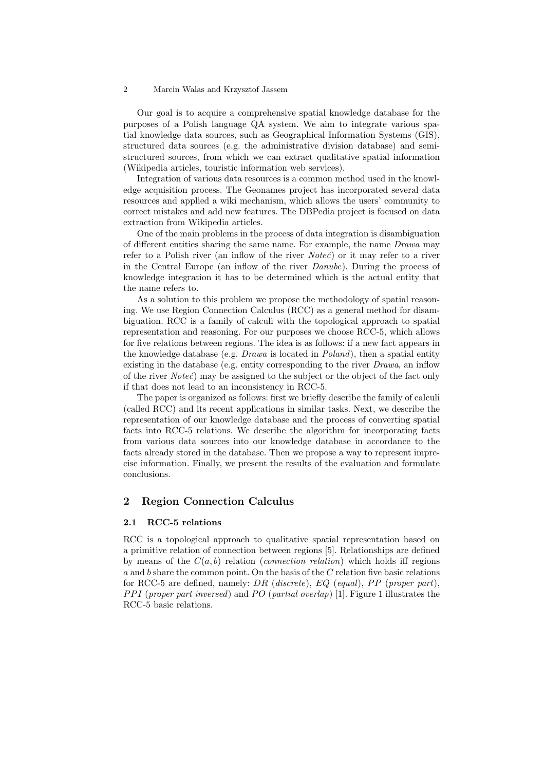Our goal is to acquire a comprehensive spatial knowledge database for the purposes of a Polish language QA system. We aim to integrate various spatial knowledge data sources, such as Geographical Information Systems (GIS), structured data sources (e.g. the administrative division database) and semistructured sources, from which we can extract qualitative spatial information (Wikipedia articles, touristic information web services).

Integration of various data resources is a common method used in the knowledge acquisition process. The Geonames project has incorporated several data resources and applied a wiki mechanism, which allows the users' community to correct mistakes and add new features. The DBPedia project is focused on data extraction from Wikipedia articles.

One of the main problems in the process of data integration is disambiguation of different entities sharing the same name. For example, the name Drawa may refer to a Polish river (an inflow of the river  $Notec$ ) or it may refer to a river in the Central Europe (an inflow of the river Danube). During the process of knowledge integration it has to be determined which is the actual entity that the name refers to.

As a solution to this problem we propose the methodology of spatial reasoning. We use Region Connection Calculus (RCC) as a general method for disambiguation. RCC is a family of calculi with the topological approach to spatial representation and reasoning. For our purposes we choose RCC-5, which allows for five relations between regions. The idea is as follows: if a new fact appears in the knowledge database (e.g. Drawa is located in Poland), then a spatial entity existing in the database (e.g. entity corresponding to the river Drawa, an inflow of the river  $Note\hat{c}$  may be assigned to the subject or the object of the fact only if that does not lead to an inconsistency in RCC-5.

The paper is organized as follows: first we briefly describe the family of calculi (called RCC) and its recent applications in similar tasks. Next, we describe the representation of our knowledge database and the process of converting spatial facts into RCC-5 relations. We describe the algorithm for incorporating facts from various data sources into our knowledge database in accordance to the facts already stored in the database. Then we propose a way to represent imprecise information. Finally, we present the results of the evaluation and formulate conclusions.

# 2 Region Connection Calculus

### 2.1 RCC-5 relations

RCC is a topological approach to qualitative spatial representation based on a primitive relation of connection between regions [5]. Relationships are defined by means of the  $C(a, b)$  relation (*connection relation*) which holds iff regions  $a$  and  $b$  share the common point. On the basis of the  $C$  relation five basic relations for RCC-5 are defined, namely: DR (discrete), EQ (equal), PP (proper part), PPI (proper part inversed) and PO (partial overlap) [1]. Figure 1 illustrates the RCC-5 basic relations.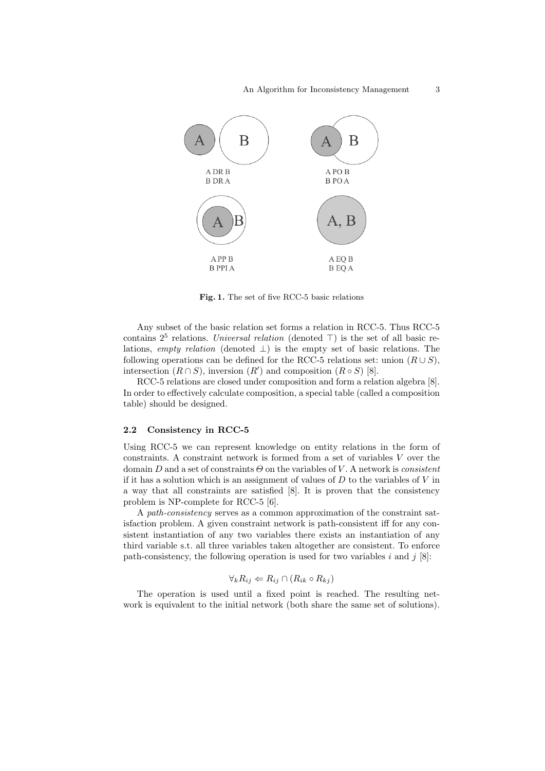

Fig. 1. The set of five RCC-5 basic relations

Any subset of the basic relation set forms a relation in RCC-5. Thus RCC-5 contains  $2^5$  relations. Universal relation (denoted  $\top$ ) is the set of all basic relations, empty relation (denoted  $\perp$ ) is the empty set of basic relations. The following operations can be defined for the RCC-5 relations set: union  $(R \cup S)$ , intersection  $(R \cap S)$ , inversion  $(R')$  and composition  $(R \circ S)$  [8].

RCC-5 relations are closed under composition and form a relation algebra [8]. In order to effectively calculate composition, a special table (called a composition table) should be designed.

### 2.2 Consistency in RCC-5

Using RCC-5 we can represent knowledge on entity relations in the form of constraints. A constraint network is formed from a set of variables V over the domain D and a set of constraints  $\Theta$  on the variables of V. A network is *consistent* if it has a solution which is an assignment of values of  $D$  to the variables of  $V$  in a way that all constraints are satisfied [8]. It is proven that the consistency problem is NP-complete for RCC-5 [6].

A path-consistency serves as a common approximation of the constraint satisfaction problem. A given constraint network is path-consistent iff for any consistent instantiation of any two variables there exists an instantiation of any third variable s.t. all three variables taken altogether are consistent. To enforce path-consistency, the following operation is used for two variables i and j [8]:

$$
\forall_k R_{ij} \Leftarrow R_{ij} \cap (R_{ik} \circ R_{kj})
$$

The operation is used until a fixed point is reached. The resulting network is equivalent to the initial network (both share the same set of solutions).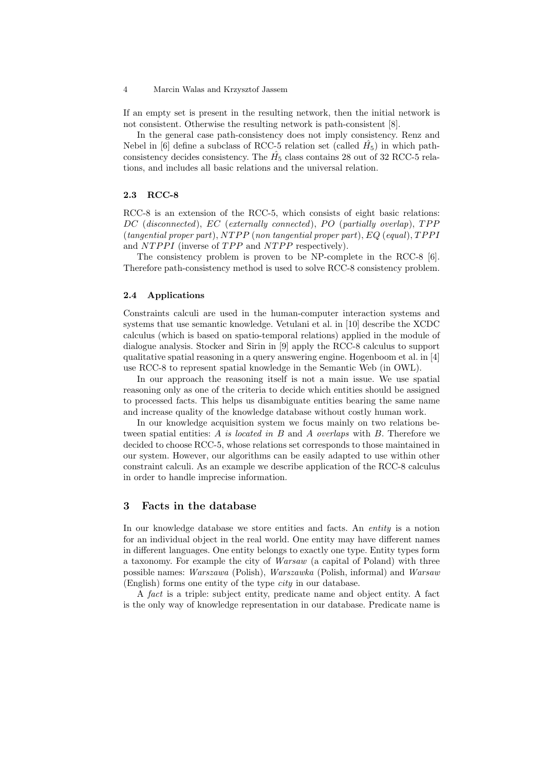If an empty set is present in the resulting network, then the initial network is not consistent. Otherwise the resulting network is path-consistent [8].

In the general case path-consistency does not imply consistency. Renz and Nebel in [6] define a subclass of RCC-5 relation set (called  $\hat{H}_5$ ) in which pathconsistency decides consistency. The  $\hat{H}_5$  class contains 28 out of 32 RCC-5 relations, and includes all basic relations and the universal relation.

# 2.3 RCC-8

RCC-8 is an extension of the RCC-5, which consists of eight basic relations:  $DC$  (disconnected),  $EC$  (externally connected),  $PO$  (partially overlap),  $TPP$  $(tangential proper part), NTPP (non tangential proper part), EQ (equal), TPPI$ and  $NTPPI$  (inverse of  $TPP$  and  $NTPP$  respectively).

The consistency problem is proven to be NP-complete in the RCC-8 [6]. Therefore path-consistency method is used to solve RCC-8 consistency problem.

### 2.4 Applications

Constraints calculi are used in the human-computer interaction systems and systems that use semantic knowledge. Vetulani et al. in [10] describe the XCDC calculus (which is based on spatio-temporal relations) applied in the module of dialogue analysis. Stocker and Sirin in [9] apply the RCC-8 calculus to support qualitative spatial reasoning in a query answering engine. Hogenboom et al. in [4] use RCC-8 to represent spatial knowledge in the Semantic Web (in OWL).

In our approach the reasoning itself is not a main issue. We use spatial reasoning only as one of the criteria to decide which entities should be assigned to processed facts. This helps us disambiguate entities bearing the same name and increase quality of the knowledge database without costly human work.

In our knowledge acquisition system we focus mainly on two relations between spatial entities: A is located in B and A overlaps with B. Therefore we decided to choose RCC-5, whose relations set corresponds to those maintained in our system. However, our algorithms can be easily adapted to use within other constraint calculi. As an example we describe application of the RCC-8 calculus in order to handle imprecise information.

# 3 Facts in the database

In our knowledge database we store entities and facts. An *entity* is a notion for an individual object in the real world. One entity may have different names in different languages. One entity belongs to exactly one type. Entity types form a taxonomy. For example the city of Warsaw (a capital of Poland) with three possible names: Warszawa (Polish), Warszawka (Polish, informal) and Warsaw (English) forms one entity of the type city in our database.

A fact is a triple: subject entity, predicate name and object entity. A fact is the only way of knowledge representation in our database. Predicate name is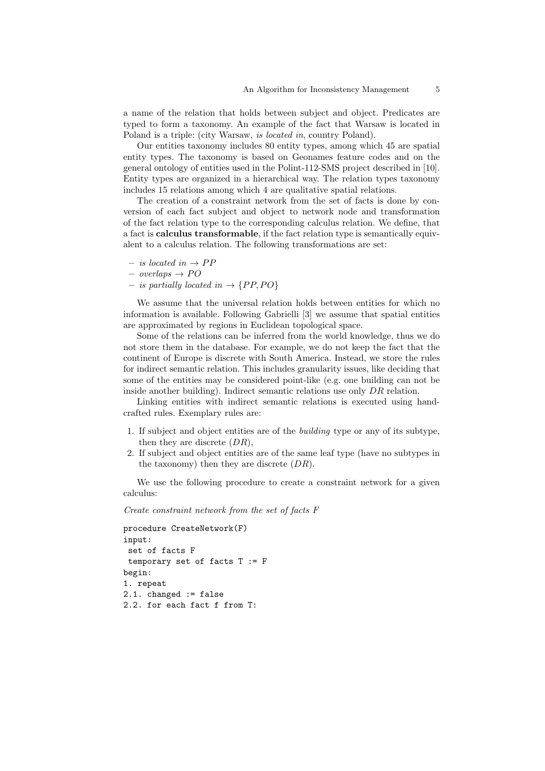a name of the relation that holds between subject and object. Predicates are typed to form a taxonomy. An example of the fact that Warsaw is located in Poland is a triple: (city Warsaw, is located in, country Poland).

Our entities taxonomy includes 80 entity types, among which 45 are spatial entity types. The taxonomy is based on Geonames feature codes and on the general ontology of entities used in the Polint-112-SMS project described in [10]. Entity types are organized in a hierarchical way. The relation types taxonomy includes 15 relations among which 4 are qualitative spatial relations.

The creation of a constraint network from the set of facts is done by conversion of each fact subject and object to network node and transformation of the fact relation type to the corresponding calculus relation. We define, that a fact is calculus transformable, if the fact relation type is semantically equivalent to a calculus relation. The following transformations are set:

- $-$  is located in  $\rightarrow PP$
- $-$  overlaps  $\rightarrow PO$
- $-$  is partially located in  $\rightarrow$  {PP, PO}

We assume that the universal relation holds between entities for which no information is available. Following Gabrielli [3] we assume that spatial entities are approximated by regions in Euclidean topological space.

Some of the relations can be inferred from the world knowledge, thus we do not store them in the database. For example, we do not keep the fact that the continent of Europe is discrete with South America. Instead, we store the rules for indirect semantic relation. This includes granularity issues, like deciding that some of the entities may be considered point-like (e.g. one building can not be inside another building). Indirect semantic relations use only DR relation.

Linking entities with indirect semantic relations is executed using handcrafted rules. Exemplary rules are:

- 1. If subject and object entities are of the building type or any of its subtype, then they are discrete  $(DR)$ ,
- 2. If subject and object entities are of the same leaf type (have no subtypes in the taxonomy) then they are discrete  $(DR)$ .

We use the following procedure to create a constraint network for a given calculus:

Create constraint network from the set of facts F

```
procedure CreateNetwork(F)
input:
set of facts F
temporary set of facts T := F
begin:
1. repeat
2.1. changed := false
2.2. for each fact f from T:
```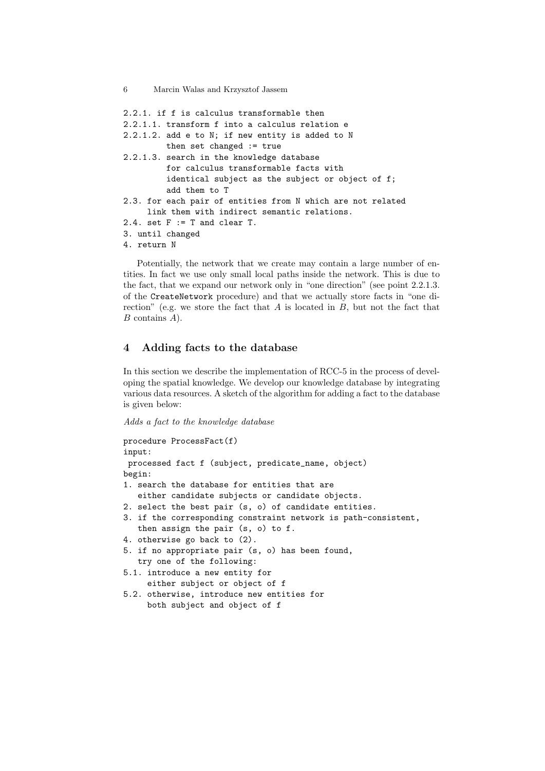```
6 Marcin Walas and Krzysztof Jassem
```

```
2.2.1. if f is calculus transformable then
2.2.1.1. transform f into a calculus relation e
2.2.1.2. add e to N; if new entity is added to N
         then set changed := true
2.2.1.3. search in the knowledge database
         for calculus transformable facts with
         identical subject as the subject or object of f;
         add them to T
2.3. for each pair of entities from N which are not related
     link them with indirect semantic relations.
2.4. set F := T and clear T.
3. until changed
4. return N
```
Potentially, the network that we create may contain a large number of entities. In fact we use only small local paths inside the network. This is due to the fact, that we expand our network only in "one direction" (see point 2.2.1.3. of the CreateNetwork procedure) and that we actually store facts in "one direction" (e.g. we store the fact that  $A$  is located in  $B$ , but not the fact that B contains A).

# 4 Adding facts to the database

In this section we describe the implementation of RCC-5 in the process of developing the spatial knowledge. We develop our knowledge database by integrating various data resources. A sketch of the algorithm for adding a fact to the database is given below:

Adds a fact to the knowledge database

```
procedure ProcessFact(f)
input:
processed fact f (subject, predicate_name, object)
begin:
1. search the database for entities that are
  either candidate subjects or candidate objects.
2. select the best pair (s, o) of candidate entities.
3. if the corresponding constraint network is path-consistent,
   then assign the pair (s, o) to f.
4. otherwise go back to (2).
5. if no appropriate pair (s, o) has been found,
   try one of the following:
5.1. introduce a new entity for
    either subject or object of f
5.2. otherwise, introduce new entities for
     both subject and object of f
```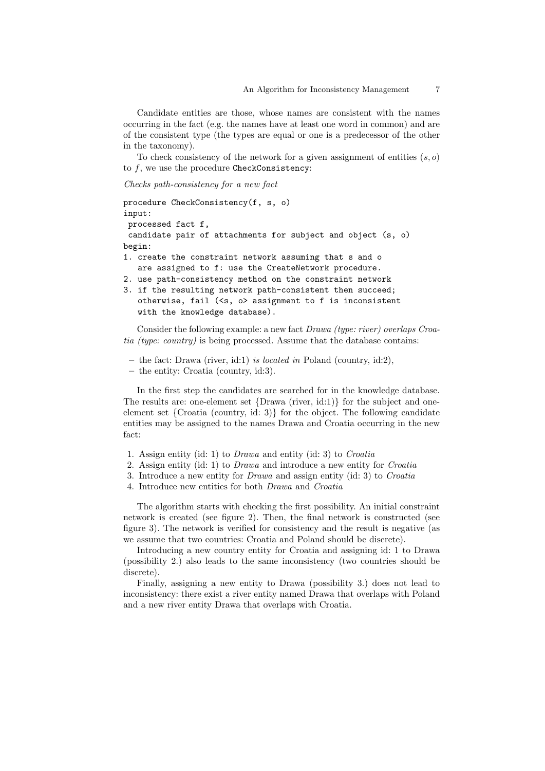Candidate entities are those, whose names are consistent with the names occurring in the fact (e.g. the names have at least one word in common) and are of the consistent type (the types are equal or one is a predecessor of the other in the taxonomy).

To check consistency of the network for a given assignment of entities  $(s, o)$ to f, we use the procedure CheckConsistency:

### Checks path-consistency for a new fact

```
procedure CheckConsistency(f, s, o)
input:
 processed fact f,
 candidate pair of attachments for subject and object (s, o)
begin:
1. create the constraint network assuming that s and o
   are assigned to f: use the CreateNetwork procedure.
2. use path-consistency method on the constraint network
3. if the resulting network path-consistent then succeed;
   otherwise, fail (<s, o> assignment to f is inconsistent
   with the knowledge database).
```
Consider the following example: a new fact Drawa (type: river) overlaps Croatia (type: country) is being processed. Assume that the database contains:

- the fact: Drawa (river, id:1) is located in Poland (country, id:2),
- the entity: Croatia (country, id:3).

In the first step the candidates are searched for in the knowledge database. The results are: one-element set  $\{Drawa (river, id:1)\}$  for the subject and oneelement set  ${Corona (country, id: 3)}$  for the object. The following candidate entities may be assigned to the names Drawa and Croatia occurring in the new fact:

- 1. Assign entity (id: 1) to Drawa and entity (id: 3) to Croatia
- 2. Assign entity (id: 1) to Drawa and introduce a new entity for Croatia
- 3. Introduce a new entity for Drawa and assign entity (id: 3) to Croatia
- 4. Introduce new entities for both Drawa and Croatia

The algorithm starts with checking the first possibility. An initial constraint network is created (see figure 2). Then, the final network is constructed (see figure 3). The network is verified for consistency and the result is negative (as we assume that two countries: Croatia and Poland should be discrete).

Introducing a new country entity for Croatia and assigning id: 1 to Drawa (possibility 2.) also leads to the same inconsistency (two countries should be discrete).

Finally, assigning a new entity to Drawa (possibility 3.) does not lead to inconsistency: there exist a river entity named Drawa that overlaps with Poland and a new river entity Drawa that overlaps with Croatia.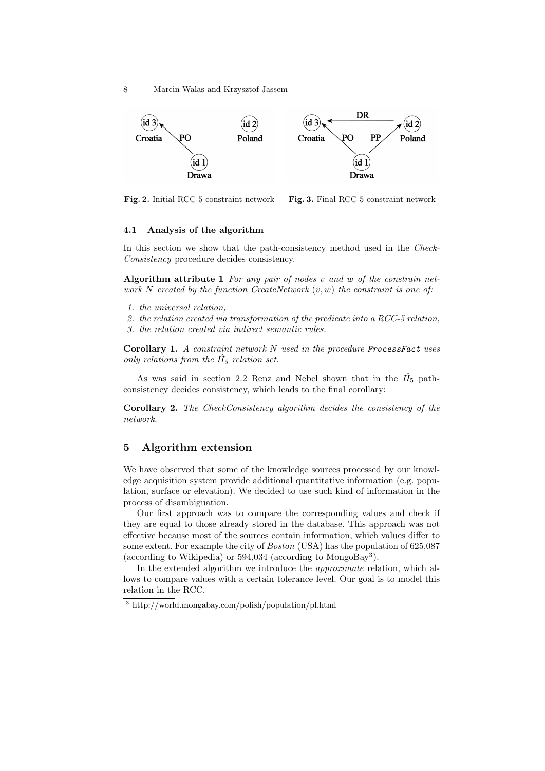

Fig. 2. Initial RCC-5 constraint network Fig. 3. Final RCC-5 constraint network

### 4.1 Analysis of the algorithm

In this section we show that the path-consistency method used in the Check-Consistency procedure decides consistency.

Algorithm attribute 1 For any pair of nodes  $v$  and  $w$  of the constrain network N created by the function CreateNetwork  $(v, w)$  the constraint is one of:

- 1. the universal relation,
- 2. the relation created via transformation of the predicate into a RCC-5 relation,
- 3. the relation created via indirect semantic rules.

Corollary 1. A constraint network N used in the procedure ProcessFact uses only relations from the  $\hat{H}_5$  relation set.

As was said in section 2.2 Renz and Nebel shown that in the  $\hat{H}_5$  pathconsistency decides consistency, which leads to the final corollary:

Corollary 2. The CheckConsistency algorithm decides the consistency of the network.

# 5 Algorithm extension

We have observed that some of the knowledge sources processed by our knowledge acquisition system provide additional quantitative information (e.g. population, surface or elevation). We decided to use such kind of information in the process of disambiguation.

Our first approach was to compare the corresponding values and check if they are equal to those already stored in the database. This approach was not effective because most of the sources contain information, which values differ to some extent. For example the city of *Boston* (USA) has the population of 625,087 (according to Wikipedia) or  $594,034$  (according to MongoBay<sup>3</sup>).

In the extended algorithm we introduce the *approximate* relation, which allows to compare values with a certain tolerance level. Our goal is to model this relation in the RCC.

<sup>3</sup> http://world.mongabay.com/polish/population/pl.html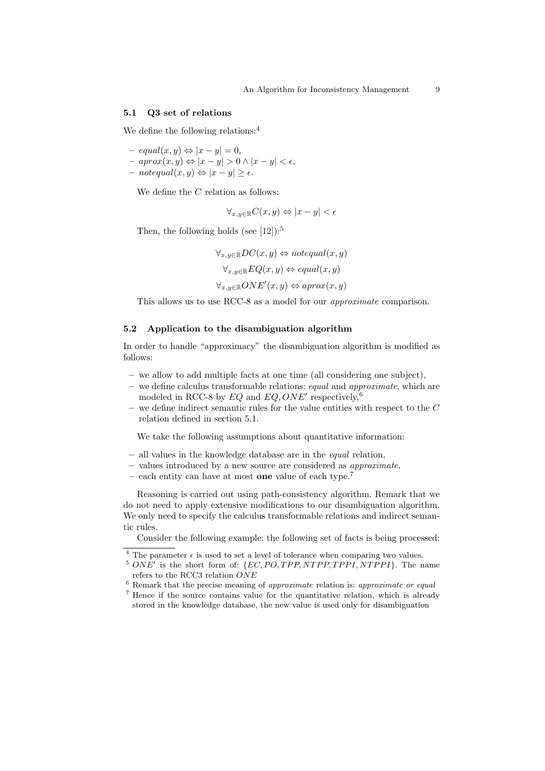### 5.1 Q3 set of relations

We define the following relations:<sup>4</sup>

- $-$  equal $(x, y) \Leftrightarrow |x y| = 0$ ,
- aprox(x, y) ⇔ |x − y| > 0 ∧ |x − y| < ,
- notequal(x, y) ⇔ |x − y| ≥ .

We define the  $C$  relation as follows:

$$
\forall_{x,y \in \mathbb{R}} C(x,y) \Leftrightarrow |x - y| < \epsilon
$$

Then, the following holds (see  $[12]$ ):<sup>5</sup>

$$
\forall_{x,y \in \mathbb{R}} DC(x,y) \Leftrightarrow \text{notequal}(x,y)
$$

$$
\forall_{x,y \in \mathbb{R}} EQ(x,y) \Leftrightarrow \text{equal}(x,y)
$$

$$
\forall_{x,y \in \mathbb{R}} ONE'(x,y) \Leftrightarrow \text{aprox}(x,y)
$$

This allows us to use RCC-8 as a model for our approximate comparison.

### 5.2 Application to the disambiguation algorithm

In order to handle "approximacy" the disambiguation algorithm is modified as follows:

- we allow to add multiple facts at one time (all considering one subject),
- we define calculus transformable relations:  $equal$  and  $approximate$ , which are modeled in RCC-8 by  $EQ$  and  $EQ, ONE'$  respectively,<sup>6</sup>
- we define indirect semantic rules for the value entities with respect to the  $C$ relation defined in section 5.1.

We take the following assumptions about quantitative information:

- all values in the knowledge database are in the equal relation,
- values introduced by a new source are considered as approximate,
- each entity can have at most **one** value of each type.<sup>7</sup>

Reasoning is carried out using path-consistency algorithm. Remark that we do not need to apply extensive modifications to our disambiguation algorithm. We only need to specify the calculus transformable relations and indirect semantic rules.

Consider the following example: the following set of facts is being processed:

 $5$  ONE' is the short form of: {EC, PO, TPP, NTPP, TPPI, NTPPI}. The name refers to the RCC3 relation  $ONE$ 

 $^4$  The parameter  $\epsilon$  is used to set a level of tolerance when comparing two values.

 $6$  Remark that the precise meaning of *approximate* relation is: *approximate* or equal

<sup>7</sup> Hence if the source contains value for the quantitative relation, which is already stored in the knowledge database, the new value is used only for disambiguation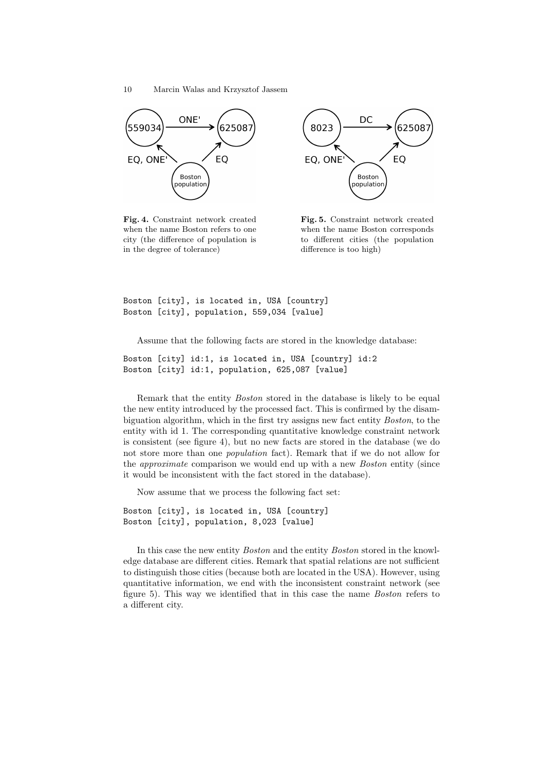

Fig. 4. Constraint network created when the name Boston refers to one city (the difference of population is in the degree of tolerance)



Fig. 5. Constraint network created when the name Boston corresponds to different cities (the population difference is too high)

```
Boston [city], is located in, USA [country]
Boston [city], population, 559,034 [value]
```
Assume that the following facts are stored in the knowledge database:

Boston [city] id:1, is located in, USA [country] id:2 Boston [city] id:1, population, 625,087 [value]

Remark that the entity *Boston* stored in the database is likely to be equal the new entity introduced by the processed fact. This is confirmed by the disambiguation algorithm, which in the first try assigns new fact entity Boston, to the entity with id 1. The corresponding quantitative knowledge constraint network is consistent (see figure 4), but no new facts are stored in the database (we do not store more than one population fact). Remark that if we do not allow for the *approximate* comparison we would end up with a new *Boston* entity (since it would be inconsistent with the fact stored in the database).

Now assume that we process the following fact set:

Boston [city], is located in, USA [country] Boston [city], population, 8,023 [value]

In this case the new entity Boston and the entity Boston stored in the knowledge database are different cities. Remark that spatial relations are not sufficient to distinguish those cities (because both are located in the USA). However, using quantitative information, we end with the inconsistent constraint network (see figure 5). This way we identified that in this case the name Boston refers to a different city.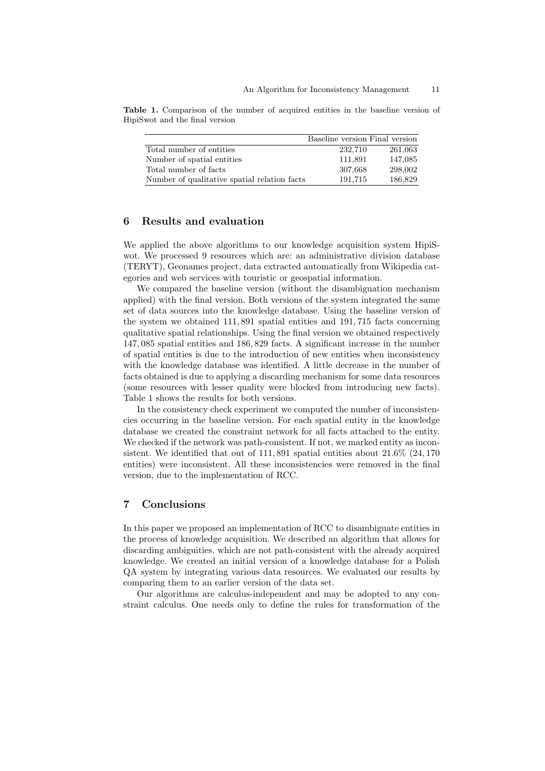Table 1. Comparison of the number of acquired entities in the baseline version of HipiSwot and the final version

|                                              | Baseline version Final version |         |
|----------------------------------------------|--------------------------------|---------|
| Total number of entities                     | 232.710                        | 261,063 |
| Number of spatial entities                   | 111,891                        | 147,085 |
| Total number of facts                        | 307,668                        | 298,002 |
| Number of qualitative spatial relation facts | 191,715                        | 186,829 |

# 6 Results and evaluation

We applied the above algorithms to our knowledge acquisition system HipiSwot. We processed 9 resources which are: an administrative division database (TERYT), Geonames project, data extracted automatically from Wikipedia categories and web services with touristic or geospatial information.

We compared the baseline version (without the disambiguation mechanism applied) with the final version. Both versions of the system integrated the same set of data sources into the knowledge database. Using the baseline version of the system we obtained 111, 891 spatial entities and 191, 715 facts concerning qualitative spatial relationships. Using the final version we obtained respectively 147, 085 spatial entities and 186, 829 facts. A significant increase in the number of spatial entities is due to the introduction of new entities when inconsistency with the knowledge database was identified. A little decrease in the number of facts obtained is due to applying a discarding mechanism for some data resources (some resources with lesser quality were blocked from introducing new facts). Table 1 shows the results for both versions.

In the consistency check experiment we computed the number of inconsistencies occurring in the baseline version. For each spatial entity in the knowledge database we created the constraint network for all facts attached to the entity. We checked if the network was path-consistent. If not, we marked entity as inconsistent. We identified that out of 111, 891 spatial entities about 21.6% (24, 170 entities) were inconsistent. All these inconsistencies were removed in the final version, due to the implementation of RCC.

### 7 Conclusions

In this paper we proposed an implementation of RCC to disambiguate entities in the process of knowledge acquisition. We described an algorithm that allows for discarding ambiguities, which are not path-consistent with the already acquired knowledge. We created an initial version of a knowledge database for a Polish QA system by integrating various data resources. We evaluated our results by comparing them to an earlier version of the data set.

Our algorithms are calculus-independent and may be adopted to any constraint calculus. One needs only to define the rules for transformation of the